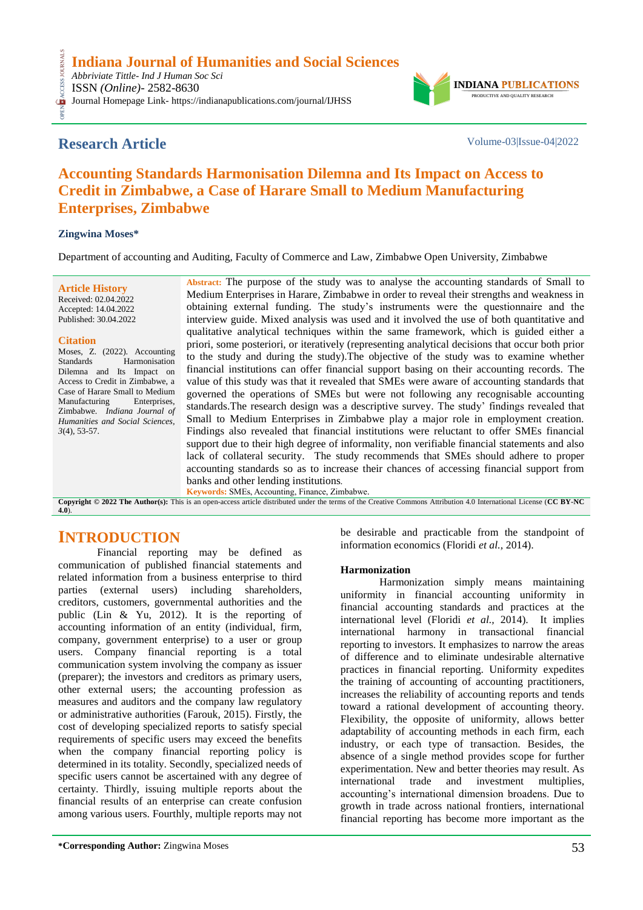**Indiana Journal of Humanities and Social Sciences**

*Abbriviate Tittle- Ind J Human Soc Sci* ISSN *(Online)*- 2582-8630 Journal Homepage Link- https://indianapublications.com/journal/IJHSS

# **Research Article** Volume-03|Issue-04|2022

OPEN ACCESS JOURNALS

CESS.

**INDIANA** PRODUCTIVE AND QUALITY RESEARCH

# **Accounting Standards Harmonisation Dilemna and Its Impact on Access to Credit in Zimbabwe, a Case of Harare Small to Medium Manufacturing Enterprises, Zimbabwe**

### **Zingwina Moses\***

Department of accounting and Auditing, Faculty of Commerce and Law, Zimbabwe Open University, Zimbabwe

**Article History** Received: 02.04.2022 Accepted: 14.04.2022 Published: 30.04.2022

#### **Citation**

Moses, Z. (2022). Accounting Standards Harmonisation Dilemna and Its Impact on Access to Credit in Zimbabwe, a Case of Harare Small to Medium Manufacturing Enterprises, Zimbabwe. *Indiana Journal of Humanities and Social Sciences, 3*(4), 53-57.

**Abstract:** The purpose of the study was to analyse the accounting standards of Small to Medium Enterprises in Harare, Zimbabwe in order to reveal their strengths and weakness in obtaining external funding. The study"s instruments were the questionnaire and the interview guide. Mixed analysis was used and it involved the use of both quantitative and qualitative analytical techniques within the same framework, which is guided either a priori, some posteriori, or iteratively (representing analytical decisions that occur both prior to the study and during the study).The objective of the study was to examine whether financial institutions can offer financial support basing on their accounting records. The value of this study was that it revealed that SMEs were aware of accounting standards that governed the operations of SMEs but were not following any recognisable accounting standards.The research design was a descriptive survey. The study" findings revealed that Small to Medium Enterprises in Zimbabwe play a major role in employment creation. Findings also revealed that financial institutions were reluctant to offer SMEs financial support due to their high degree of informality, non verifiable financial statements and also lack of collateral security. The study recommends that SMEs should adhere to proper accounting standards so as to increase their chances of accessing financial support from banks and other lending institutions*.*

**Keywords:** SMEs, Accounting, Finance, Zimbabwe. **Copyright © 2022 The Author(s):** This is an open-access article distributed under the terms of the Creative Commons Attribution 4.0 International License (**[CC BY-NC](https://creativecommons.org/licenses/by-nc/4.0/)  [4.0](https://creativecommons.org/licenses/by-nc/4.0/)**).

# **INTRODUCTION**

Financial reporting may be defined as communication of published financial statements and related information from a business enterprise to third parties (external users) including shareholders, creditors, customers, governmental authorities and the public (Lin & Yu, 2012). It is the reporting of accounting information of an entity (individual, firm, company, government enterprise) to a user or group users. Company financial reporting is a total communication system involving the company as issuer (preparer); the investors and creditors as primary users, other external users; the accounting profession as measures and auditors and the company law regulatory or administrative authorities (Farouk, 2015). Firstly, the cost of developing specialized reports to satisfy special requirements of specific users may exceed the benefits when the company financial reporting policy is determined in its totality. Secondly, specialized needs of specific users cannot be ascertained with any degree of certainty. Thirdly, issuing multiple reports about the financial results of an enterprise can create confusion among various users. Fourthly, multiple reports may not be desirable and practicable from the standpoint of information economics (Floridi *et al.,* 2014).

# **Harmonization**

Harmonization simply means maintaining uniformity in financial accounting uniformity in financial accounting standards and practices at the international level (Floridi *et al.,* 2014). It implies international harmony in transactional financial reporting to investors. It emphasizes to narrow the areas of difference and to eliminate undesirable alternative practices in financial reporting. Uniformity expedites the training of accounting of accounting practitioners, increases the reliability of accounting reports and tends toward a rational development of accounting theory. Flexibility, the opposite of uniformity, allows better adaptability of accounting methods in each firm, each industry, or each type of transaction. Besides, the absence of a single method provides scope for further experimentation. New and better theories may result. As international trade and investment multiplies, accounting"s international dimension broadens. Due to growth in trade across national frontiers, international financial reporting has become more important as the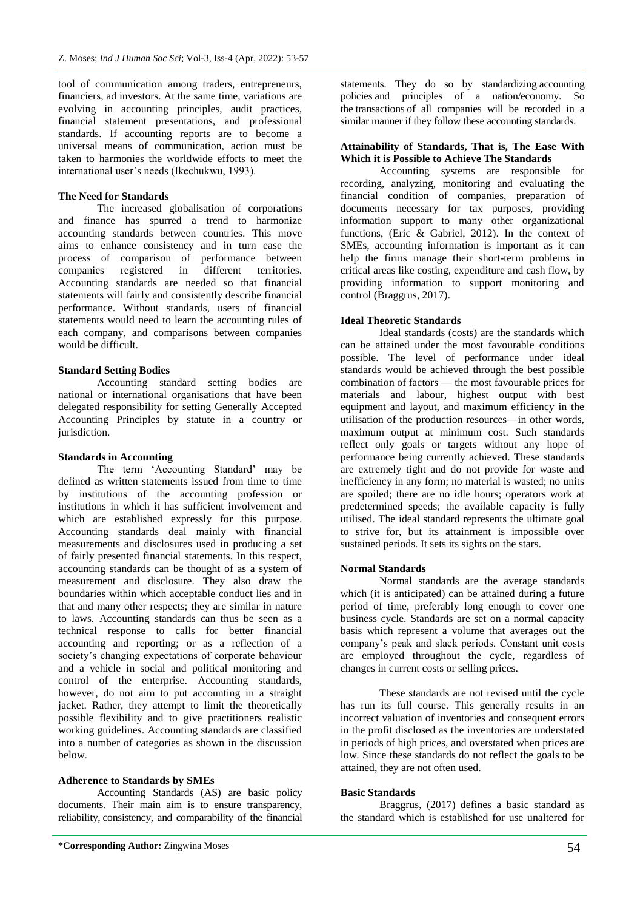tool of communication among traders, entrepreneurs, financiers, ad investors. At the same time, variations are evolving in accounting principles, audit practices, financial statement presentations, and professional standards. If accounting reports are to become a universal means of communication, action must be taken to harmonies the worldwide efforts to meet the international user's needs (Ikechukwu, 1993).

#### **The Need for Standards**

The increased globalisation of corporations and finance has spurred a trend to harmonize accounting standards between countries. This move aims to enhance consistency and in turn ease the process of comparison of performance between companies registered in different territories. Accounting standards are needed so that financial statements will fairly and consistently describe financial performance. Without standards, users of financial statements would need to learn the accounting rules of each company, and comparisons between companies would be difficult.

#### **Standard Setting Bodies**

Accounting standard setting bodies are national or international organisations that have been delegated responsibility for setting Generally Accepted Accounting Principles by statute in a country or jurisdiction.

#### **Standards in Accounting**

The term "Accounting Standard" may be defined as written statements issued from time to time by institutions of the accounting profession or institutions in which it has sufficient involvement and which are established expressly for this purpose. Accounting standards deal mainly with financial measurements and disclosures used in producing a set of fairly presented financial statements. In this respect, accounting standards can be thought of as a system of measurement and disclosure. They also draw the boundaries within which acceptable conduct lies and in that and many other respects; they are similar in nature to laws. Accounting standards can thus be seen as a technical response to calls for better financial accounting and reporting; or as a reflection of a society"s changing expectations of corporate behaviour and a vehicle in social and political monitoring and control of the enterprise. Accounting standards, however, do not aim to put accounting in a straight jacket. Rather, they attempt to limit the theoretically possible flexibility and to give practitioners realistic working guidelines. Accounting standards are classified into a number of categories as shown in the discussion below.

#### **Adherence to Standards by SMEs**

Accounting Standards (AS) are basic policy documents. Their main aim is to ensure transparency, reliability, consistency, and comparability of the financial

**\*Corresponding Author:** Zingwina Moses 54

statements. They do so by standardizing accounting policies and principles of a nation/economy. So the transactions of all companies will be recorded in a similar manner if they follow these accounting standards.

#### **Attainability of Standards, That is, The Ease With Which it is Possible to Achieve The Standards**

Accounting systems are responsible for recording, analyzing, monitoring and evaluating the financial condition of companies, preparation of documents necessary for tax purposes, providing information support to many other organizational functions, (Eric & Gabriel, 2012). In the context of SMEs, accounting information is important as it can help the firms manage their short-term problems in critical areas like costing, expenditure and cash flow, by providing information to support monitoring and control (Braggrus, 2017).

#### **Ideal Theoretic Standards**

Ideal standards (costs) are the standards which can be attained under the most favourable conditions possible. The level of performance under ideal standards would be achieved through the best possible combination of factors — the most favourable prices for materials and labour, highest output with best equipment and layout, and maximum efficiency in the utilisation of the production resources—in other words, maximum output at minimum cost. Such standards reflect only goals or targets without any hope of performance being currently achieved. These standards are extremely tight and do not provide for waste and inefficiency in any form; no material is wasted; no units are spoiled; there are no idle hours; operators work at predetermined speeds; the available capacity is fully utilised. The ideal standard represents the ultimate goal to strive for, but its attainment is impossible over sustained periods. It sets its sights on the stars.

#### **Normal Standards**

Normal standards are the average standards which (it is anticipated) can be attained during a future period of time, preferably long enough to cover one business cycle. Standards are set on a normal capacity basis which represent a volume that averages out the company"s peak and slack periods. Constant unit costs are employed throughout the cycle, regardless of changes in current costs or selling prices.

These standards are not revised until the cycle has run its full course. This generally results in an incorrect valuation of inventories and consequent errors in the profit disclosed as the inventories are understated in periods of high prices, and overstated when prices are low. Since these standards do not reflect the goals to be attained, they are not often used.

#### **Basic Standards**

Braggrus, (2017) defines a basic standard as the standard which is established for use unaltered for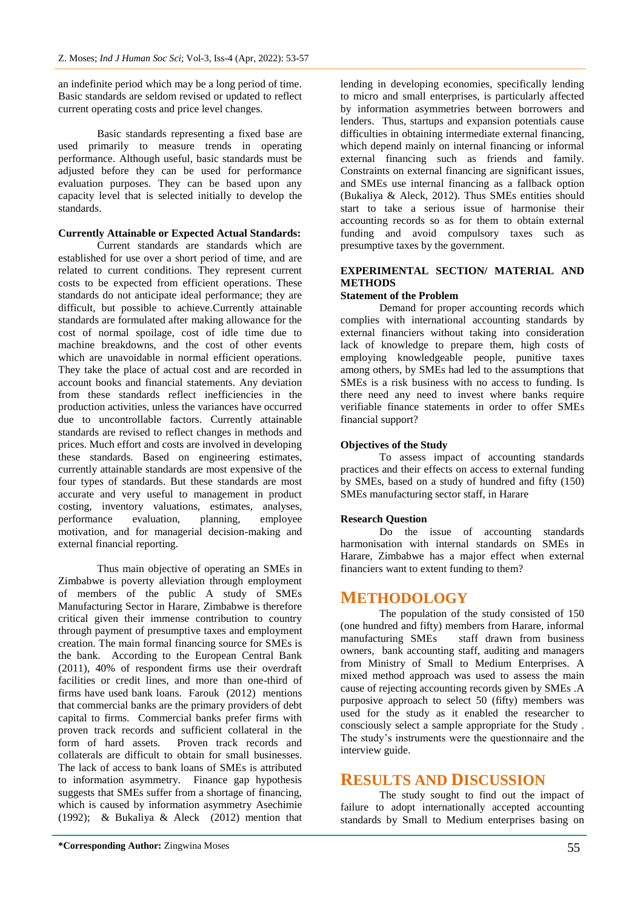an indefinite period which may be a long period of time. Basic standards are seldom revised or updated to reflect current operating costs and price level changes.

Basic standards representing a fixed base are used primarily to measure trends in operating performance. Although useful, basic standards must be adjusted before they can be used for performance evaluation purposes. They can be based upon any capacity level that is selected initially to develop the standards.

#### **Currently Attainable or Expected Actual Standards:**

Current standards are standards which are established for use over a short period of time, and are related to current conditions. They represent current costs to be expected from efficient operations. These standards do not anticipate ideal performance; they are difficult, but possible to achieve.Currently attainable standards are formulated after making allowance for the cost of normal spoilage, cost of idle time due to machine breakdowns, and the cost of other events which are unavoidable in normal efficient operations. They take the place of actual cost and are recorded in account books and financial statements. Any deviation from these standards reflect inefficiencies in the production activities, unless the variances have occurred due to uncontrollable factors. Currently attainable standards are revised to reflect changes in methods and prices. Much effort and costs are involved in developing these standards. Based on engineering estimates, currently attainable standards are most expensive of the four types of standards. But these standards are most accurate and very useful to management in product costing, inventory valuations, estimates, analyses, performance evaluation, planning, employee motivation, and for managerial decision-making and external financial reporting.

Thus main objective of operating an SMEs in Zimbabwe is poverty alleviation through employment of members of the public A study of SMEs Manufacturing Sector in Harare, Zimbabwe is therefore critical given their immense contribution to country through payment of presumptive taxes and employment creation. The main formal financing source for SMEs is the bank. According to the European Central Bank (2011), 40% of respondent firms use their overdraft facilities or credit lines, and more than one-third of firms have used bank loans. Farouk (2012) mentions that commercial banks are the primary providers of debt capital to firms. Commercial banks prefer firms with proven track records and sufficient collateral in the form of hard assets. Proven track records and collaterals are difficult to obtain for small businesses. The lack of access to bank loans of SMEs is attributed to information asymmetry. Finance gap hypothesis suggests that SMEs suffer from a shortage of financing. which is caused by information asymmetry Asechimie (1992); & Bukaliya & Aleck (2012) mention that to micro and small enterprises, is particularly affected by information asymmetries between borrowers and lenders. Thus, startups and expansion potentials cause difficulties in obtaining intermediate external financing, which depend mainly on internal financing or informal external financing such as friends and family. Constraints on external financing are significant issues, and SMEs use internal financing as a fallback option (Bukaliya & Aleck, 2012). Thus SMEs entities should start to take a serious issue of harmonise their accounting records so as for them to obtain external funding and avoid compulsory taxes such as presumptive taxes by the government.

lending in developing economies, specifically lending

### **EXPERIMENTAL SECTION/ MATERIAL AND METHODS**

#### **Statement of the Problem**

Demand for proper accounting records which complies with international accounting standards by external financiers without taking into consideration lack of knowledge to prepare them, high costs of employing knowledgeable people, punitive taxes among others, by SMEs had led to the assumptions that SMEs is a risk business with no access to funding. Is there need any need to invest where banks require verifiable finance statements in order to offer SMEs financial support?

#### **Objectives of the Study**

To assess impact of accounting standards practices and their effects on access to external funding by SMEs, based on a study of hundred and fifty (150) SMEs manufacturing sector staff, in Harare

#### **Research Question**

Do the issue of accounting standards harmonisation with internal standards on SMEs in Harare, Zimbabwe has a major effect when external financiers want to extent funding to them?

# **METHODOLOGY**

The population of the study consisted of 150 (one hundred and fifty) members from Harare, informal manufacturing SMEs staff drawn from business owners, bank accounting staff, auditing and managers from Ministry of Small to Medium Enterprises. A mixed method approach was used to assess the main cause of rejecting accounting records given by SMEs .A purposive approach to select 50 (fifty) members was used for the study as it enabled the researcher to consciously select a sample appropriate for the Study . The study"s instruments were the questionnaire and the interview guide.

# **RESULTS AND DISCUSSION**

The study sought to find out the impact of failure to adopt internationally accepted accounting standards by Small to Medium enterprises basing on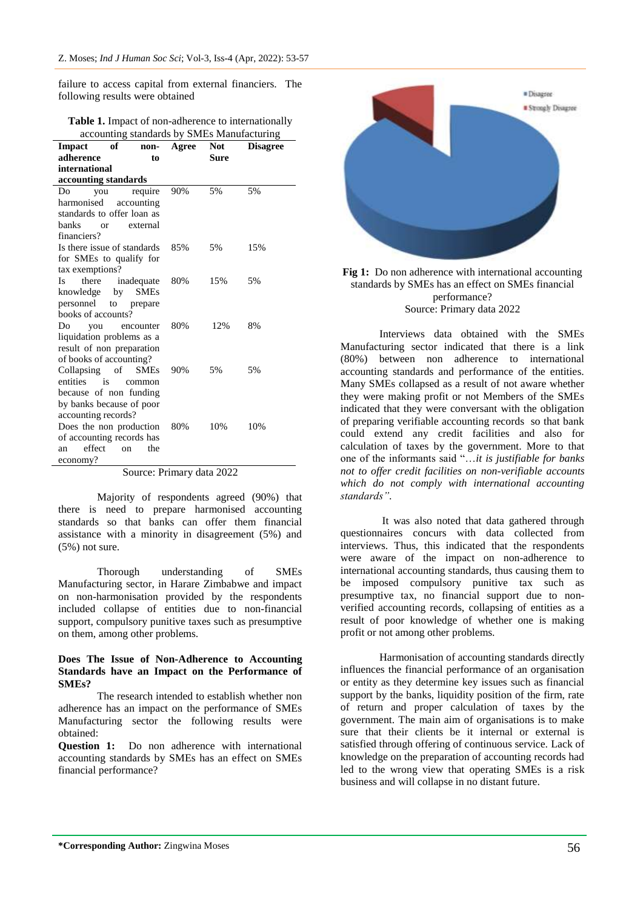failure to access capital from external financiers. The following results were obtained

| <b>Table 1.</b> Impact of non-adherence to internationally |  |
|------------------------------------------------------------|--|
| accounting standards by SMEs Manufacturing                 |  |

| Impact                      | of         | non-        | Agree | <b>Not</b>                            | <b>Disagree</b> |  |  |
|-----------------------------|------------|-------------|-------|---------------------------------------|-----------------|--|--|
| adherence                   |            | to          |       | Sure                                  |                 |  |  |
| international               |            |             |       |                                       |                 |  |  |
| accounting standards        |            |             |       |                                       |                 |  |  |
| Do<br>you                   |            | require     | 90%   | 5%                                    | 5%              |  |  |
| harmonised<br>accounting    |            |             |       |                                       |                 |  |  |
| standards to offer loan as  |            |             |       |                                       |                 |  |  |
| banks<br>external<br>or     |            |             |       |                                       |                 |  |  |
| financiers?                 |            |             |       |                                       |                 |  |  |
| Is there issue of standards |            |             | 85%   | 5%                                    | 15%             |  |  |
| for SMEs to qualify for     |            |             |       |                                       |                 |  |  |
| tax exemptions?             |            |             |       |                                       |                 |  |  |
| there inadequate<br>Is      |            |             | 80%   | 15%                                   | 5%              |  |  |
| knowledge                   | by SMEs    |             |       |                                       |                 |  |  |
| personnel to                |            | prepare     |       |                                       |                 |  |  |
| books of accounts?          |            |             |       |                                       |                 |  |  |
| Do.<br>you                  |            | encounter   | 80%   | 12%                                   | 8%              |  |  |
| liquidation problems as a   |            |             |       |                                       |                 |  |  |
| result of non preparation   |            |             |       |                                       |                 |  |  |
| of books of accounting?     |            |             |       |                                       |                 |  |  |
| Collapsing of               |            | <b>SMEs</b> | 90%   | 5%                                    | 5%              |  |  |
| entities<br>is              |            | common      |       |                                       |                 |  |  |
| because of non funding      |            |             |       |                                       |                 |  |  |
| by banks because of poor    |            |             |       |                                       |                 |  |  |
| accounting records?         |            |             |       |                                       |                 |  |  |
| Does the non production     |            |             | 80%   | 10%                                   | 10%             |  |  |
| of accounting records has   |            |             |       |                                       |                 |  |  |
| effect<br>an                | $\alpha$ n | the         |       |                                       |                 |  |  |
| economy?                    |            |             |       |                                       |                 |  |  |
|                             | $\Omega$ . | D           |       | 2022<br>$\mathbf{J}$ and $\mathbf{J}$ |                 |  |  |

Source: Primary data 2022

Majority of respondents agreed (90%) that there is need to prepare harmonised accounting standards so that banks can offer them financial assistance with a minority in disagreement (5%) and (5%) not sure.

Thorough understanding of SMEs Manufacturing sector, in Harare Zimbabwe and impact on non-harmonisation provided by the respondents included collapse of entities due to non-financial support, compulsory punitive taxes such as presumptive on them, among other problems.

#### **Does The Issue of Non-Adherence to Accounting Standards have an Impact on the Performance of SMEs?**

The research intended to establish whether non adherence has an impact on the performance of SMEs Manufacturing sector the following results were obtained:

**Question 1:** Do non adherence with international accounting standards by SMEs has an effect on SMEs financial performance?



Fig 1: Do non adherence with international accounting standards by SMEs has an effect on SMEs financial performance? Source: Primary data 2022

Interviews data obtained with the SMEs Manufacturing sector indicated that there is a link (80%) between non adherence to international accounting standards and performance of the entities. Many SMEs collapsed as a result of not aware whether they were making profit or not Members of the SMEs indicated that they were conversant with the obligation of preparing verifiable accounting records so that bank could extend any credit facilities and also for calculation of taxes by the government. More to that one of the informants said "…*it is justifiable for banks not to offer credit facilities on non-verifiable accounts which do not comply with international accounting standards"*.

It was also noted that data gathered through questionnaires concurs with data collected from interviews. Thus, this indicated that the respondents were aware of the impact on non-adherence to international accounting standards, thus causing them to be imposed compulsory punitive tax such as presumptive tax, no financial support due to nonverified accounting records, collapsing of entities as a result of poor knowledge of whether one is making profit or not among other problems.

Harmonisation of accounting standards directly influences the financial performance of an organisation or entity as they determine key issues such as financial support by the banks, liquidity position of the firm, rate of return and proper calculation of taxes by the government. The main aim of organisations is to make sure that their clients be it internal or external is satisfied through offering of continuous service. Lack of knowledge on the preparation of accounting records had led to the wrong view that operating SMEs is a risk business and will collapse in no distant future.